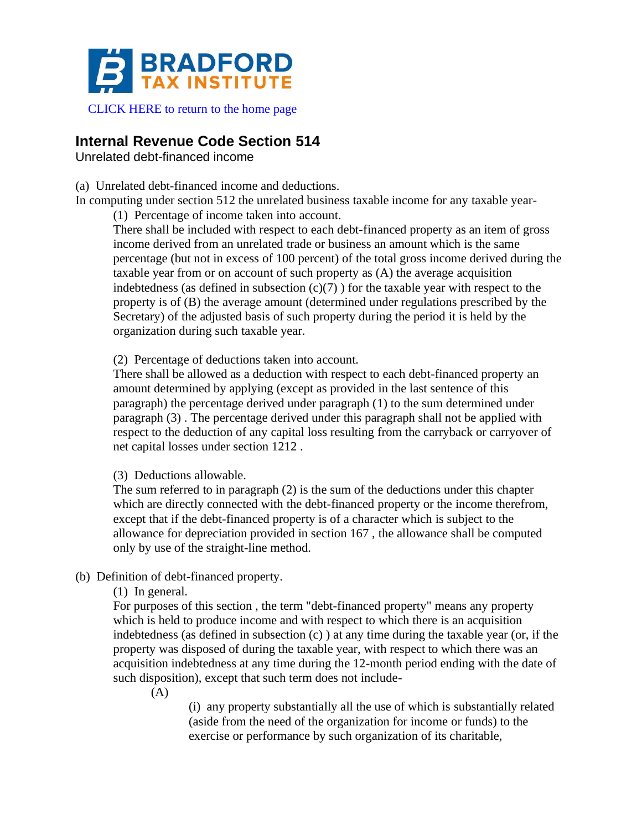

## [CLICK HERE to return to the home page](https://www.bradfordtaxinstitute.com)

# **Internal Revenue Code Section 514**

Unrelated debt-financed income

(a) Unrelated debt-financed income and deductions.

In computing under section 512 the unrelated business taxable income for any taxable year-

(1) Percentage of income taken into account.

There shall be included with respect to each debt-financed property as an item of gross income derived from an unrelated trade or business an amount which is the same percentage (but not in excess of 100 percent) of the total gross income derived during the taxable year from or on account of such property as (A) the average acquisition indebtedness (as defined in subsection  $(c)(7)$ ) for the taxable year with respect to the property is of (B) the average amount (determined under regulations prescribed by the Secretary) of the adjusted basis of such property during the period it is held by the organization during such taxable year.

(2) Percentage of deductions taken into account.

There shall be allowed as a deduction with respect to each debt-financed property an amount determined by applying (except as provided in the last sentence of this paragraph) the percentage derived under paragraph (1) to the sum determined under paragraph (3) . The percentage derived under this paragraph shall not be applied with respect to the deduction of any capital loss resulting from the carryback or carryover of net capital losses under section 1212 .

(3) Deductions allowable.

The sum referred to in paragraph (2) is the sum of the deductions under this chapter which are directly connected with the debt-financed property or the income therefrom, except that if the debt-financed property is of a character which is subject to the allowance for depreciation provided in section 167 , the allowance shall be computed only by use of the straight-line method.

(b) Definition of debt-financed property.

(1) In general.

For purposes of this section , the term "debt-financed property" means any property which is held to produce income and with respect to which there is an acquisition indebtedness (as defined in subsection (c) ) at any time during the taxable year (or, if the property was disposed of during the taxable year, with respect to which there was an acquisition indebtedness at any time during the 12-month period ending with the date of such disposition), except that such term does not include-

(A)

(i) any property substantially all the use of which is substantially related (aside from the need of the organization for income or funds) to the exercise or performance by such organization of its charitable,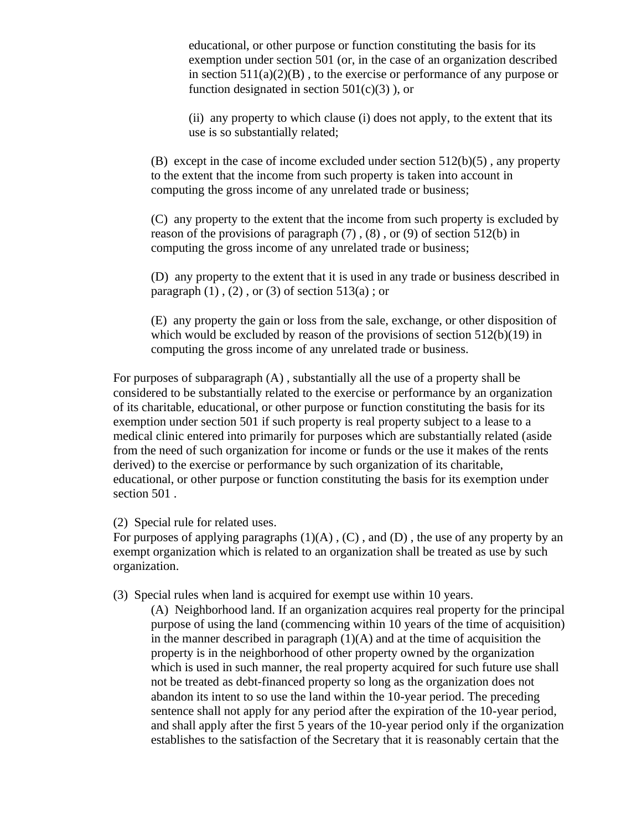educational, or other purpose or function constituting the basis for its exemption under section 501 (or, in the case of an organization described in section  $511(a)(2)(B)$ , to the exercise or performance of any purpose or function designated in section  $501(c)(3)$ , or

(ii) any property to which clause (i) does not apply, to the extent that its use is so substantially related;

(B) except in the case of income excluded under section 512(b)(5) , any property to the extent that the income from such property is taken into account in computing the gross income of any unrelated trade or business;

(C) any property to the extent that the income from such property is excluded by reason of the provisions of paragraph  $(7)$ ,  $(8)$ , or  $(9)$  of section 512(b) in computing the gross income of any unrelated trade or business;

(D) any property to the extent that it is used in any trade or business described in paragraph  $(1)$ ,  $(2)$ , or  $(3)$  of section 513(a); or

(E) any property the gain or loss from the sale, exchange, or other disposition of which would be excluded by reason of the provisions of section 512(b)(19) in computing the gross income of any unrelated trade or business.

For purposes of subparagraph (A) , substantially all the use of a property shall be considered to be substantially related to the exercise or performance by an organization of its charitable, educational, or other purpose or function constituting the basis for its exemption under section 501 if such property is real property subject to a lease to a medical clinic entered into primarily for purposes which are substantially related (aside from the need of such organization for income or funds or the use it makes of the rents derived) to the exercise or performance by such organization of its charitable, educational, or other purpose or function constituting the basis for its exemption under section 501 .

(2) Special rule for related uses.

For purposes of applying paragraphs  $(1)(A)$ ,  $(C)$ , and  $(D)$ , the use of any property by an exempt organization which is related to an organization shall be treated as use by such organization.

(3) Special rules when land is acquired for exempt use within 10 years.

(A) Neighborhood land. If an organization acquires real property for the principal purpose of using the land (commencing within 10 years of the time of acquisition) in the manner described in paragraph  $(1)(A)$  and at the time of acquisition the property is in the neighborhood of other property owned by the organization which is used in such manner, the real property acquired for such future use shall not be treated as debt-financed property so long as the organization does not abandon its intent to so use the land within the 10-year period. The preceding sentence shall not apply for any period after the expiration of the 10-year period, and shall apply after the first 5 years of the 10-year period only if the organization establishes to the satisfaction of the Secretary that it is reasonably certain that the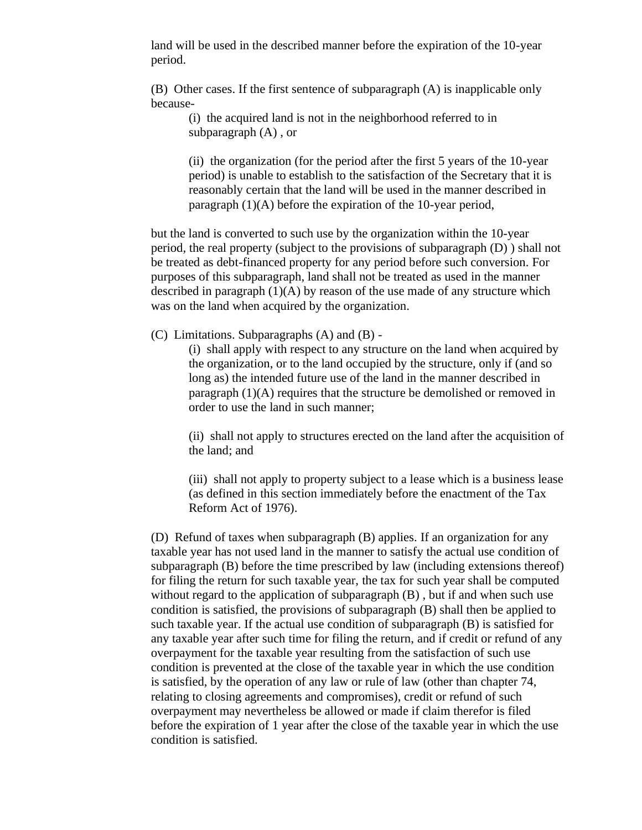land will be used in the described manner before the expiration of the 10-year period.

(B) Other cases. If the first sentence of subparagraph (A) is inapplicable only because-

(i) the acquired land is not in the neighborhood referred to in subparagraph (A) , or

(ii) the organization (for the period after the first 5 years of the 10-year period) is unable to establish to the satisfaction of the Secretary that it is reasonably certain that the land will be used in the manner described in paragraph (1)(A) before the expiration of the 10-year period,

but the land is converted to such use by the organization within the 10-year period, the real property (subject to the provisions of subparagraph (D) ) shall not be treated as debt-financed property for any period before such conversion. For purposes of this subparagraph, land shall not be treated as used in the manner described in paragraph  $(1)(A)$  by reason of the use made of any structure which was on the land when acquired by the organization.

(C) Limitations. Subparagraphs (A) and (B) -

(i) shall apply with respect to any structure on the land when acquired by the organization, or to the land occupied by the structure, only if (and so long as) the intended future use of the land in the manner described in paragraph (1)(A) requires that the structure be demolished or removed in order to use the land in such manner;

(ii) shall not apply to structures erected on the land after the acquisition of the land; and

(iii) shall not apply to property subject to a lease which is a business lease (as defined in this section immediately before the enactment of the Tax Reform Act of 1976).

(D) Refund of taxes when subparagraph (B) applies. If an organization for any taxable year has not used land in the manner to satisfy the actual use condition of subparagraph (B) before the time prescribed by law (including extensions thereof) for filing the return for such taxable year, the tax for such year shall be computed without regard to the application of subparagraph  $(B)$ , but if and when such use condition is satisfied, the provisions of subparagraph (B) shall then be applied to such taxable year. If the actual use condition of subparagraph (B) is satisfied for any taxable year after such time for filing the return, and if credit or refund of any overpayment for the taxable year resulting from the satisfaction of such use condition is prevented at the close of the taxable year in which the use condition is satisfied, by the operation of any law or rule of law (other than chapter 74, relating to closing agreements and compromises), credit or refund of such overpayment may nevertheless be allowed or made if claim therefor is filed before the expiration of 1 year after the close of the taxable year in which the use condition is satisfied.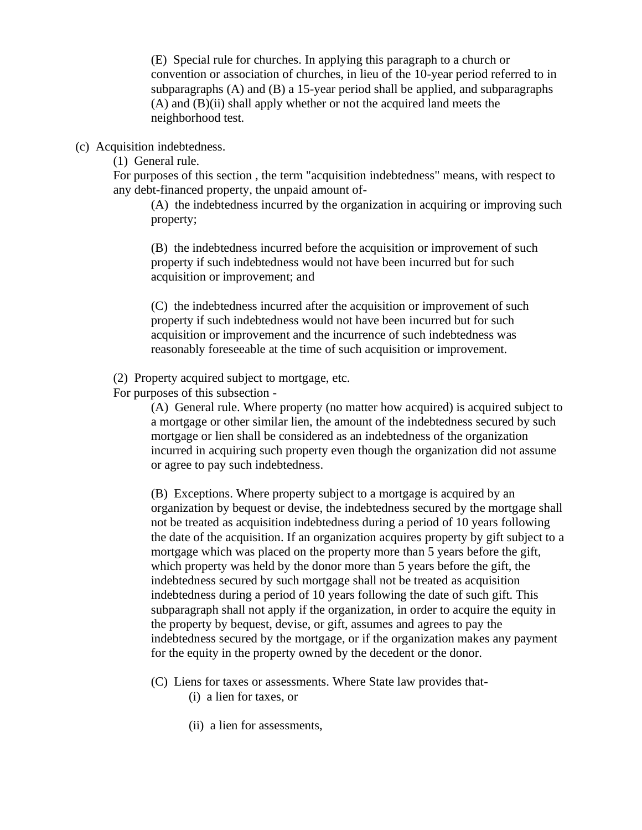(E) Special rule for churches. In applying this paragraph to a church or convention or association of churches, in lieu of the 10-year period referred to in subparagraphs (A) and (B) a 15-year period shall be applied, and subparagraphs (A) and (B)(ii) shall apply whether or not the acquired land meets the neighborhood test.

(c) Acquisition indebtedness.

(1) General rule.

For purposes of this section , the term "acquisition indebtedness" means, with respect to any debt-financed property, the unpaid amount of-

(A) the indebtedness incurred by the organization in acquiring or improving such property;

(B) the indebtedness incurred before the acquisition or improvement of such property if such indebtedness would not have been incurred but for such acquisition or improvement; and

(C) the indebtedness incurred after the acquisition or improvement of such property if such indebtedness would not have been incurred but for such acquisition or improvement and the incurrence of such indebtedness was reasonably foreseeable at the time of such acquisition or improvement.

(2) Property acquired subject to mortgage, etc.

For purposes of this subsection -

(A) General rule. Where property (no matter how acquired) is acquired subject to a mortgage or other similar lien, the amount of the indebtedness secured by such mortgage or lien shall be considered as an indebtedness of the organization incurred in acquiring such property even though the organization did not assume or agree to pay such indebtedness.

(B) Exceptions. Where property subject to a mortgage is acquired by an organization by bequest or devise, the indebtedness secured by the mortgage shall not be treated as acquisition indebtedness during a period of 10 years following the date of the acquisition. If an organization acquires property by gift subject to a mortgage which was placed on the property more than 5 years before the gift, which property was held by the donor more than 5 years before the gift, the indebtedness secured by such mortgage shall not be treated as acquisition indebtedness during a period of 10 years following the date of such gift. This subparagraph shall not apply if the organization, in order to acquire the equity in the property by bequest, devise, or gift, assumes and agrees to pay the indebtedness secured by the mortgage, or if the organization makes any payment for the equity in the property owned by the decedent or the donor.

- (C) Liens for taxes or assessments. Where State law provides that- (i) a lien for taxes, or
	- (ii) a lien for assessments,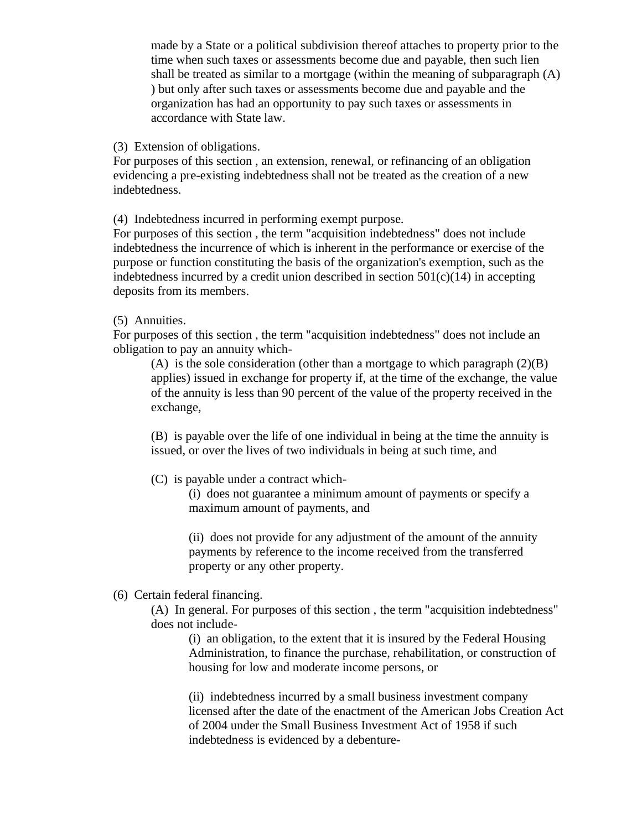made by a State or a political subdivision thereof attaches to property prior to the time when such taxes or assessments become due and payable, then such lien shall be treated as similar to a mortgage (within the meaning of subparagraph (A) ) but only after such taxes or assessments become due and payable and the organization has had an opportunity to pay such taxes or assessments in accordance with State law.

(3) Extension of obligations.

For purposes of this section , an extension, renewal, or refinancing of an obligation evidencing a pre-existing indebtedness shall not be treated as the creation of a new indebtedness.

(4) Indebtedness incurred in performing exempt purpose.

For purposes of this section , the term "acquisition indebtedness" does not include indebtedness the incurrence of which is inherent in the performance or exercise of the purpose or function constituting the basis of the organization's exemption, such as the indebtedness incurred by a credit union described in section  $501(c)(14)$  in accepting deposits from its members.

#### (5) Annuities.

For purposes of this section , the term "acquisition indebtedness" does not include an obligation to pay an annuity which-

(A) is the sole consideration (other than a mortgage to which paragraph  $(2)(B)$ applies) issued in exchange for property if, at the time of the exchange, the value of the annuity is less than 90 percent of the value of the property received in the exchange,

(B) is payable over the life of one individual in being at the time the annuity is issued, or over the lives of two individuals in being at such time, and

(C) is payable under a contract which-

(i) does not guarantee a minimum amount of payments or specify a maximum amount of payments, and

(ii) does not provide for any adjustment of the amount of the annuity payments by reference to the income received from the transferred property or any other property.

## (6) Certain federal financing.

(A) In general. For purposes of this section , the term "acquisition indebtedness" does not include-

(i) an obligation, to the extent that it is insured by the Federal Housing Administration, to finance the purchase, rehabilitation, or construction of housing for low and moderate income persons, or

(ii) indebtedness incurred by a small business investment company licensed after the date of the enactment of the American Jobs Creation Act of 2004 under the Small Business Investment Act of 1958 if such indebtedness is evidenced by a debenture-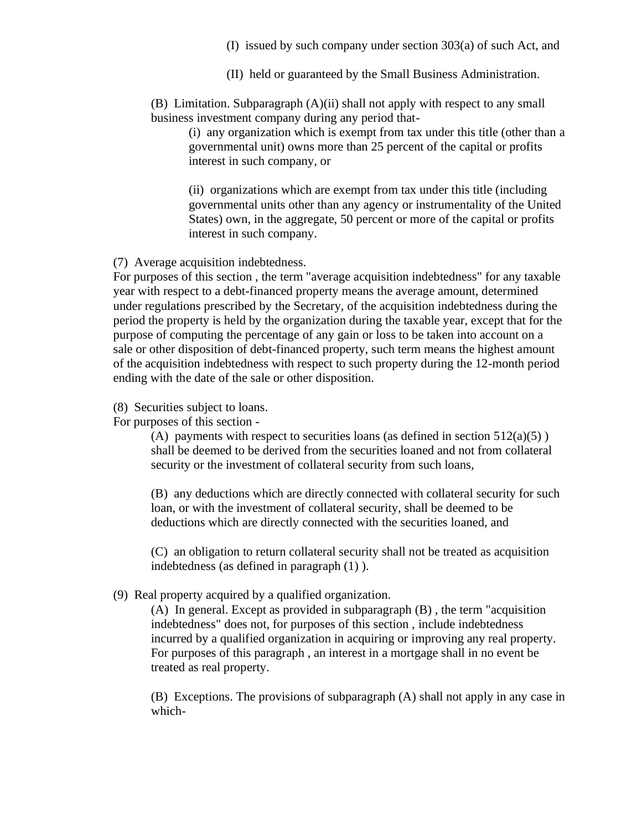- (I) issued by such company under section 303(a) of such Act, and
- (II) held or guaranteed by the Small Business Administration.

(B) Limitation. Subparagraph (A)(ii) shall not apply with respect to any small business investment company during any period that-

(i) any organization which is exempt from tax under this title (other than a governmental unit) owns more than 25 percent of the capital or profits interest in such company, or

(ii) organizations which are exempt from tax under this title (including governmental units other than any agency or instrumentality of the United States) own, in the aggregate, 50 percent or more of the capital or profits interest in such company.

(7) Average acquisition indebtedness.

For purposes of this section , the term "average acquisition indebtedness" for any taxable year with respect to a debt-financed property means the average amount, determined under regulations prescribed by the Secretary, of the acquisition indebtedness during the period the property is held by the organization during the taxable year, except that for the purpose of computing the percentage of any gain or loss to be taken into account on a sale or other disposition of debt-financed property, such term means the highest amount of the acquisition indebtedness with respect to such property during the 12-month period ending with the date of the sale or other disposition.

(8) Securities subject to loans.

For purposes of this section -

(A) payments with respect to securities loans (as defined in section  $512(a)(5)$ ) shall be deemed to be derived from the securities loaned and not from collateral security or the investment of collateral security from such loans,

(B) any deductions which are directly connected with collateral security for such loan, or with the investment of collateral security, shall be deemed to be deductions which are directly connected with the securities loaned, and

(C) an obligation to return collateral security shall not be treated as acquisition indebtedness (as defined in paragraph (1) ).

(9) Real property acquired by a qualified organization.

(A) In general. Except as provided in subparagraph (B) , the term "acquisition indebtedness" does not, for purposes of this section , include indebtedness incurred by a qualified organization in acquiring or improving any real property. For purposes of this paragraph , an interest in a mortgage shall in no event be treated as real property.

(B) Exceptions. The provisions of subparagraph (A) shall not apply in any case in which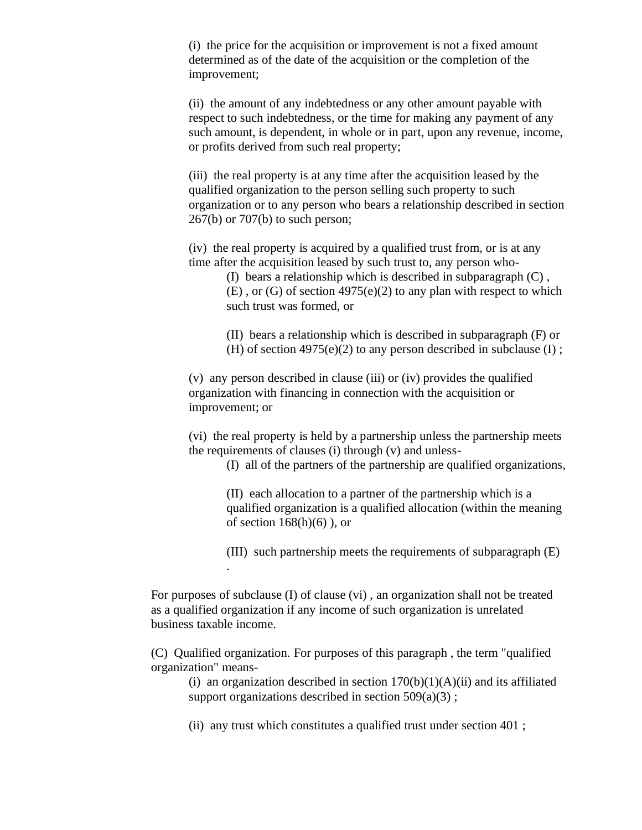(i) the price for the acquisition or improvement is not a fixed amount determined as of the date of the acquisition or the completion of the improvement;

(ii) the amount of any indebtedness or any other amount payable with respect to such indebtedness, or the time for making any payment of any such amount, is dependent, in whole or in part, upon any revenue, income, or profits derived from such real property;

(iii) the real property is at any time after the acquisition leased by the qualified organization to the person selling such property to such organization or to any person who bears a relationship described in section 267(b) or 707(b) to such person;

(iv) the real property is acquired by a qualified trust from, or is at any time after the acquisition leased by such trust to, any person who-

(I) bears a relationship which is described in subparagraph (C) ,

 $(E)$ , or  $(G)$  of section 4975(e)(2) to any plan with respect to which such trust was formed, or

(II) bears a relationship which is described in subparagraph (F) or (H) of section  $4975(e)(2)$  to any person described in subclause (I);

(v) any person described in clause (iii) or (iv) provides the qualified organization with financing in connection with the acquisition or improvement; or

(vi) the real property is held by a partnership unless the partnership meets the requirements of clauses (i) through (v) and unless-

(I) all of the partners of the partnership are qualified organizations,

(II) each allocation to a partner of the partnership which is a qualified organization is a qualified allocation (within the meaning of section  $168(h)(6)$ , or

(III) such partnership meets the requirements of subparagraph (E)

For purposes of subclause (I) of clause (vi) , an organization shall not be treated as a qualified organization if any income of such organization is unrelated business taxable income.

.

(C) Qualified organization. For purposes of this paragraph , the term "qualified organization" means-

(i) an organization described in section  $170(b)(1)(A)(ii)$  and its affiliated support organizations described in section  $509(a)(3)$ ;

(ii) any trust which constitutes a qualified trust under section 401 ;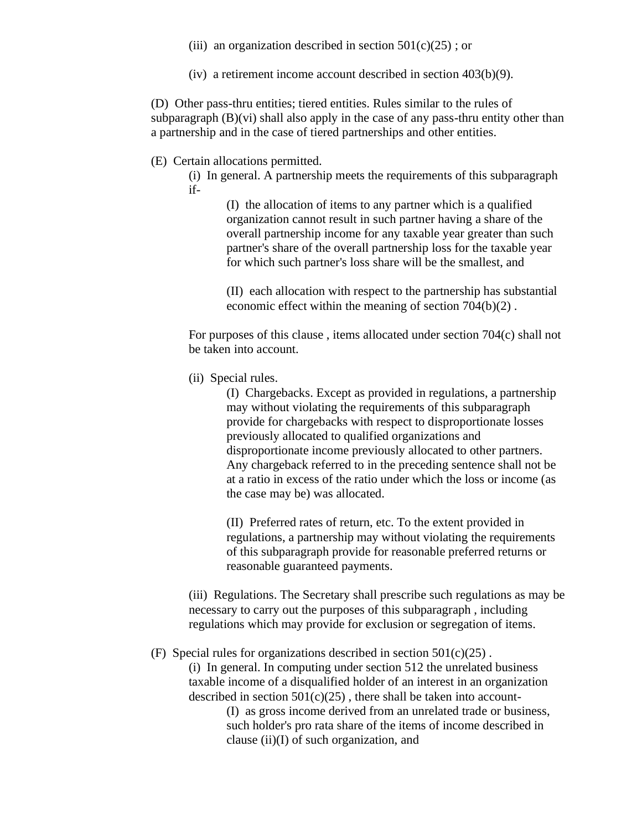- (iii) an organization described in section  $501(c)(25)$ ; or
- (iv) a retirement income account described in section 403(b)(9).

(D) Other pass-thru entities; tiered entities. Rules similar to the rules of subparagraph  $(B)(vi)$  shall also apply in the case of any pass-thru entity other than a partnership and in the case of tiered partnerships and other entities.

#### (E) Certain allocations permitted.

(i) In general. A partnership meets the requirements of this subparagraph if-

> (I) the allocation of items to any partner which is a qualified organization cannot result in such partner having a share of the overall partnership income for any taxable year greater than such partner's share of the overall partnership loss for the taxable year for which such partner's loss share will be the smallest, and

> (II) each allocation with respect to the partnership has substantial economic effect within the meaning of section 704(b)(2) .

For purposes of this clause , items allocated under section 704(c) shall not be taken into account.

(ii) Special rules.

(I) Chargebacks. Except as provided in regulations, a partnership may without violating the requirements of this subparagraph provide for chargebacks with respect to disproportionate losses previously allocated to qualified organizations and disproportionate income previously allocated to other partners. Any chargeback referred to in the preceding sentence shall not be at a ratio in excess of the ratio under which the loss or income (as the case may be) was allocated.

(II) Preferred rates of return, etc. To the extent provided in regulations, a partnership may without violating the requirements of this subparagraph provide for reasonable preferred returns or reasonable guaranteed payments.

(iii) Regulations. The Secretary shall prescribe such regulations as may be necessary to carry out the purposes of this subparagraph , including regulations which may provide for exclusion or segregation of items.

(F) Special rules for organizations described in section  $501(c)(25)$ .

(i) In general. In computing under section 512 the unrelated business taxable income of a disqualified holder of an interest in an organization described in section  $501(c)(25)$ , there shall be taken into account-

> (I) as gross income derived from an unrelated trade or business, such holder's pro rata share of the items of income described in clause (ii)(I) of such organization, and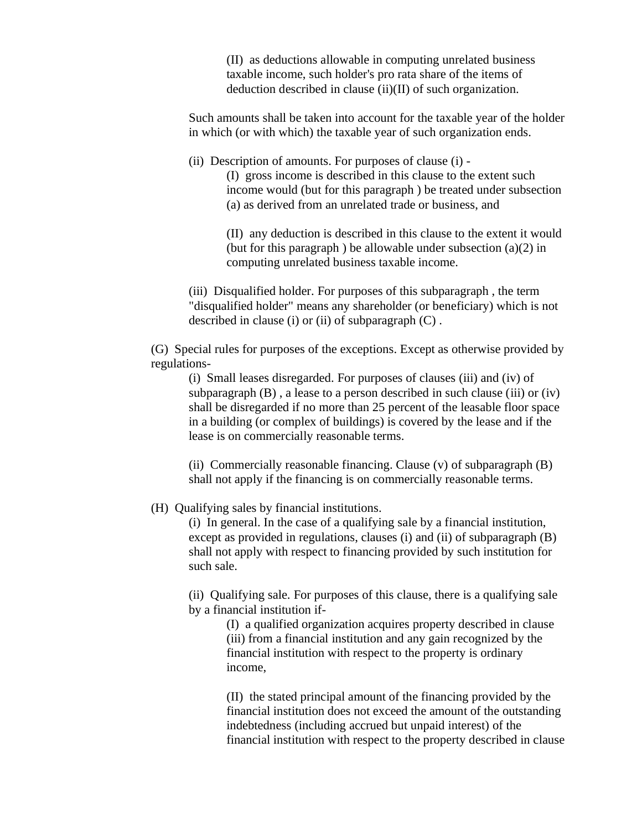(II) as deductions allowable in computing unrelated business taxable income, such holder's pro rata share of the items of deduction described in clause (ii)(II) of such organization.

Such amounts shall be taken into account for the taxable year of the holder in which (or with which) the taxable year of such organization ends.

(ii) Description of amounts. For purposes of clause (i) -

(I) gross income is described in this clause to the extent such income would (but for this paragraph ) be treated under subsection (a) as derived from an unrelated trade or business, and

(II) any deduction is described in this clause to the extent it would (but for this paragraph) be allowable under subsection  $(a)(2)$  in computing unrelated business taxable income.

(iii) Disqualified holder. For purposes of this subparagraph , the term "disqualified holder" means any shareholder (or beneficiary) which is not described in clause (i) or (ii) of subparagraph  $(C)$ .

(G) Special rules for purposes of the exceptions. Except as otherwise provided by regulations-

(i) Small leases disregarded. For purposes of clauses (iii) and (iv) of subparagraph  $(B)$ , a lease to a person described in such clause (iii) or (iv) shall be disregarded if no more than 25 percent of the leasable floor space in a building (or complex of buildings) is covered by the lease and if the lease is on commercially reasonable terms.

(ii) Commercially reasonable financing. Clause (v) of subparagraph (B) shall not apply if the financing is on commercially reasonable terms.

(H) Qualifying sales by financial institutions.

(i) In general. In the case of a qualifying sale by a financial institution, except as provided in regulations, clauses (i) and (ii) of subparagraph (B) shall not apply with respect to financing provided by such institution for such sale.

(ii) Qualifying sale. For purposes of this clause, there is a qualifying sale by a financial institution if-

> (I) a qualified organization acquires property described in clause (iii) from a financial institution and any gain recognized by the financial institution with respect to the property is ordinary income,

(II) the stated principal amount of the financing provided by the financial institution does not exceed the amount of the outstanding indebtedness (including accrued but unpaid interest) of the financial institution with respect to the property described in clause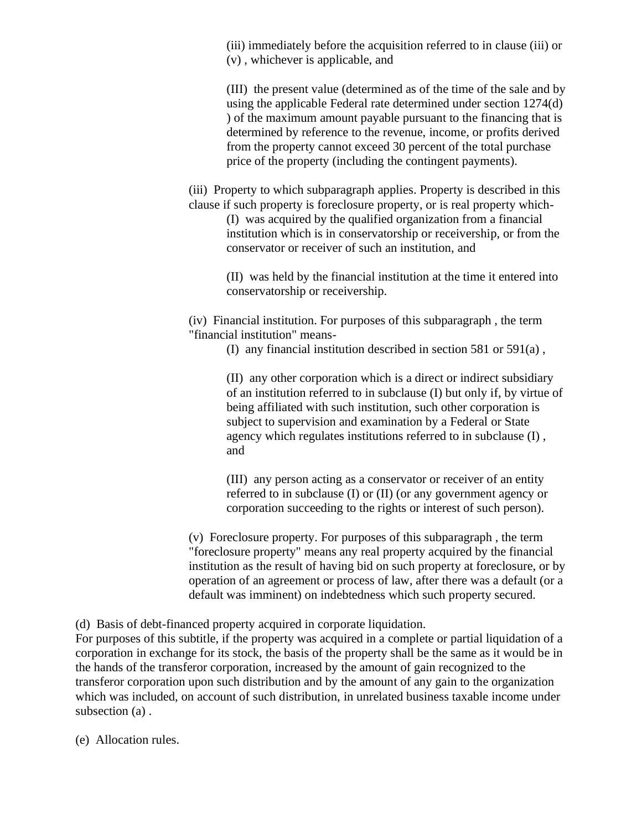(iii) immediately before the acquisition referred to in clause (iii) or (v) , whichever is applicable, and

(III) the present value (determined as of the time of the sale and by using the applicable Federal rate determined under section 1274(d) ) of the maximum amount payable pursuant to the financing that is determined by reference to the revenue, income, or profits derived from the property cannot exceed 30 percent of the total purchase price of the property (including the contingent payments).

(iii) Property to which subparagraph applies. Property is described in this clause if such property is foreclosure property, or is real property which-

(I) was acquired by the qualified organization from a financial institution which is in conservatorship or receivership, or from the conservator or receiver of such an institution, and

(II) was held by the financial institution at the time it entered into conservatorship or receivership.

(iv) Financial institution. For purposes of this subparagraph , the term "financial institution" means-

(I) any financial institution described in section 581 or 591(a) ,

(II) any other corporation which is a direct or indirect subsidiary of an institution referred to in subclause (I) but only if, by virtue of being affiliated with such institution, such other corporation is subject to supervision and examination by a Federal or State agency which regulates institutions referred to in subclause (I) , and

(III) any person acting as a conservator or receiver of an entity referred to in subclause (I) or (II) (or any government agency or corporation succeeding to the rights or interest of such person).

(v) Foreclosure property. For purposes of this subparagraph , the term "foreclosure property" means any real property acquired by the financial institution as the result of having bid on such property at foreclosure, or by operation of an agreement or process of law, after there was a default (or a default was imminent) on indebtedness which such property secured.

(d) Basis of debt-financed property acquired in corporate liquidation.

For purposes of this subtitle, if the property was acquired in a complete or partial liquidation of a corporation in exchange for its stock, the basis of the property shall be the same as it would be in the hands of the transferor corporation, increased by the amount of gain recognized to the transferor corporation upon such distribution and by the amount of any gain to the organization which was included, on account of such distribution, in unrelated business taxable income under subsection (a) .

(e) Allocation rules.